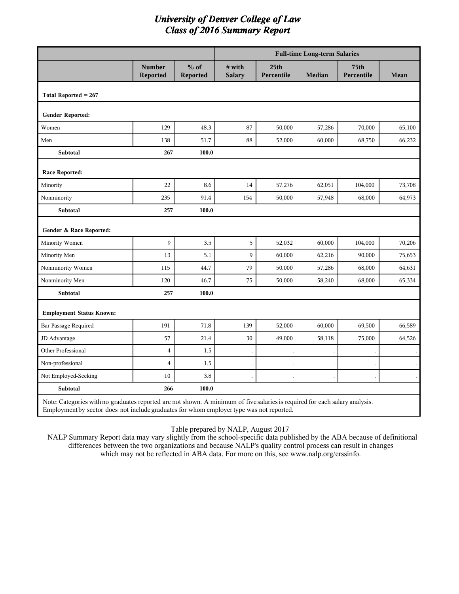|                                                                                                                                                                                                                         |                           |                    |                         |                    | <b>Full-time Long-term Salaries</b> |                    |        |
|-------------------------------------------------------------------------------------------------------------------------------------------------------------------------------------------------------------------------|---------------------------|--------------------|-------------------------|--------------------|-------------------------------------|--------------------|--------|
|                                                                                                                                                                                                                         | <b>Number</b><br>Reported | $%$ of<br>Reported | # with<br><b>Salary</b> | 25th<br>Percentile | Median                              | 75th<br>Percentile | Mean   |
| Total Reported $= 267$                                                                                                                                                                                                  |                           |                    |                         |                    |                                     |                    |        |
| Gender Reported:                                                                                                                                                                                                        |                           |                    |                         |                    |                                     |                    |        |
| Women                                                                                                                                                                                                                   | 129                       | 48.3               | 87                      | 50,000             | 57,286                              | 70,000             | 65,100 |
| Men                                                                                                                                                                                                                     | 138                       | 51.7               | 88                      | 52,000             | 60,000                              | 68,750             | 66,232 |
| Subtotal                                                                                                                                                                                                                | 267                       | 100.0              |                         |                    |                                     |                    |        |
| Race Reported:                                                                                                                                                                                                          |                           |                    |                         |                    |                                     |                    |        |
| Minority                                                                                                                                                                                                                | 22                        | 8.6                | 14                      | 57,276             | 62,051                              | 104,000            | 73,708 |
| Nonminority                                                                                                                                                                                                             | 235                       | 91.4               | 154                     | 50,000             | 57,948                              | 68,000             | 64,973 |
| <b>Subtotal</b>                                                                                                                                                                                                         | 257                       | 100.0              |                         |                    |                                     |                    |        |
| Gender & Race Reported:                                                                                                                                                                                                 |                           |                    |                         |                    |                                     |                    |        |
| Minority Women                                                                                                                                                                                                          | 9                         | 3.5                | 5                       | 52,032             | 60,000                              | 104,000            | 70,206 |
| Minority Men                                                                                                                                                                                                            | 13                        | 5.1                | 9                       | 60,000             | 62,216                              | 90,000             | 75,653 |
| Nonminority Women                                                                                                                                                                                                       | 115                       | 44.7               | 79                      | 50,000             | 57,286                              | 68,000             | 64,631 |
| Nonminority Men                                                                                                                                                                                                         | 120                       | 46.7               | 75                      | 50,000             | 58,240                              | 68,000             | 65,334 |
| Subtotal                                                                                                                                                                                                                | 257                       | 100.0              |                         |                    |                                     |                    |        |
| <b>Employment Status Known:</b>                                                                                                                                                                                         |                           |                    |                         |                    |                                     |                    |        |
| Bar Passage Required                                                                                                                                                                                                    | 191                       | 71.8               | 139                     | 52,000             | 60,000                              | 69,500             | 66,589 |
| JD Advantage                                                                                                                                                                                                            | 57                        | 21.4               | 30                      | 49,000             | 58,118                              | 75,000             | 64,526 |
| <b>Other Professional</b>                                                                                                                                                                                               | $\overline{4}$            | 1.5                |                         |                    |                                     |                    |        |
| Non-professional                                                                                                                                                                                                        | $\overline{4}$            | 1.5                |                         |                    |                                     |                    |        |
| Not Employed-Seeking                                                                                                                                                                                                    | 10                        | 3.8                |                         |                    |                                     |                    |        |
| Subtotal                                                                                                                                                                                                                | 266                       | 100.0              |                         |                    |                                     |                    |        |
| Note: Categories with no graduates reported are not shown. A minimum of five salaries is required for each salary analysis.<br>Employment by sector does not include graduates for whom employer type was not reported. |                           |                    |                         |                    |                                     |                    |        |

Table prepared by NALP, August 2017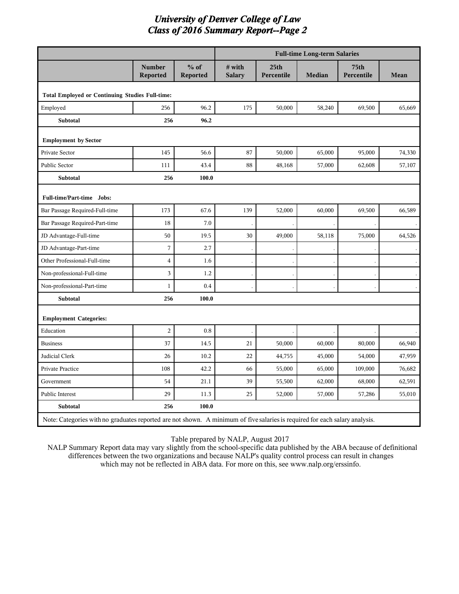|                                                                                                                             |                                  |                    |                         |                                | <b>Full-time Long-term Salaries</b> |                                |        |
|-----------------------------------------------------------------------------------------------------------------------------|----------------------------------|--------------------|-------------------------|--------------------------------|-------------------------------------|--------------------------------|--------|
|                                                                                                                             | <b>Number</b><br><b>Reported</b> | $%$ of<br>Reported | # with<br><b>Salary</b> | 25 <sub>th</sub><br>Percentile | <b>Median</b>                       | 75 <sub>th</sub><br>Percentile | Mean   |
| <b>Total Employed or Continuing Studies Full-time:</b>                                                                      |                                  |                    |                         |                                |                                     |                                |        |
| Employed                                                                                                                    | 256                              | 96.2               | 175                     | 50,000                         | 58,240                              | 69,500                         | 65,669 |
| Subtotal                                                                                                                    | 256                              | 96.2               |                         |                                |                                     |                                |        |
| <b>Employment by Sector</b>                                                                                                 |                                  |                    |                         |                                |                                     |                                |        |
| Private Sector                                                                                                              | 145                              | 56.6               | 87                      | 50,000                         | 65,000                              | 95,000                         | 74,330 |
| Public Sector                                                                                                               | 111                              | 43.4               | 88                      | 48,168                         | 57,000                              | 62,608                         | 57,107 |
| Subtotal                                                                                                                    | 256                              | 100.0              |                         |                                |                                     |                                |        |
| Full-time/Part-time Jobs:                                                                                                   |                                  |                    |                         |                                |                                     |                                |        |
| Bar Passage Required-Full-time                                                                                              | 173                              | 67.6               | 139                     | 52,000                         | 60,000                              | 69,500                         | 66,589 |
| Bar Passage Required-Part-time                                                                                              | 18                               | 7.0                |                         |                                |                                     |                                |        |
| JD Advantage-Full-time                                                                                                      | 50                               | 19.5               | 30                      | 49,000                         | 58,118                              | 75,000                         | 64,526 |
| JD Advantage-Part-time                                                                                                      | $\sqrt{ }$                       | 2.7                |                         |                                |                                     |                                |        |
| Other Professional-Full-time                                                                                                | $\overline{4}$                   | 1.6                |                         |                                |                                     |                                |        |
| Non-professional-Full-time                                                                                                  | 3                                | 1.2                |                         |                                |                                     |                                |        |
| Non-professional-Part-time                                                                                                  | $1\,$                            | 0.4                |                         |                                |                                     |                                |        |
| Subtotal                                                                                                                    | 256                              | 100.0              |                         |                                |                                     |                                |        |
| <b>Employment Categories:</b>                                                                                               |                                  |                    |                         |                                |                                     |                                |        |
| Education                                                                                                                   | $\overline{c}$                   | 0.8                |                         |                                |                                     |                                |        |
| <b>Business</b>                                                                                                             | 37                               | 14.5               | 21                      | 50,000                         | 60,000                              | 80,000                         | 66,940 |
| Judicial Clerk                                                                                                              | 26                               | 10.2               | 22                      | 44,755                         | 45,000                              | 54,000                         | 47,959 |
| Private Practice                                                                                                            | 108                              | 42.2               | 66                      | 55,000                         | 65,000                              | 109,000                        | 76,682 |
| Government                                                                                                                  | 54                               | 21.1               | 39                      | 55,500                         | 62,000                              | 68,000                         | 62,591 |
| Public Interest                                                                                                             | 29                               | 11.3               | 25                      | 52,000                         | 57,000                              | 57,286                         | 55,010 |
| Subtotal                                                                                                                    | 256                              | 100.0              |                         |                                |                                     |                                |        |
| Note: Categories with no graduates reported are not shown. A minimum of five salaries is required for each salary analysis. |                                  |                    |                         |                                |                                     |                                |        |

Table prepared by NALP, August 2017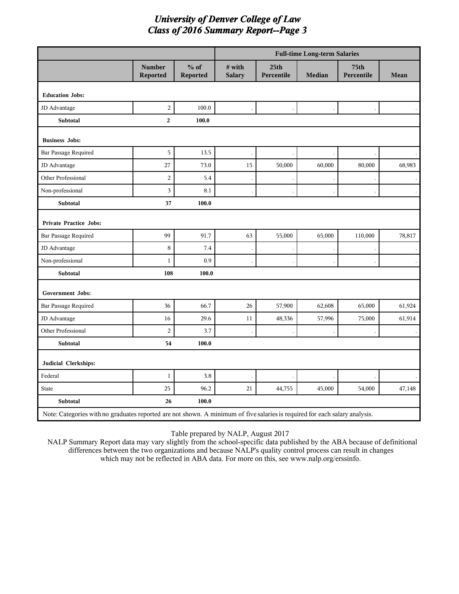|                                                                                                                             |                                  |                           | <b>Full-time Long-term Salaries</b> |                                |               |                                |             |  |
|-----------------------------------------------------------------------------------------------------------------------------|----------------------------------|---------------------------|-------------------------------------|--------------------------------|---------------|--------------------------------|-------------|--|
|                                                                                                                             | <b>Number</b><br><b>Reported</b> | $%$ of<br><b>Reported</b> | $#$ with<br><b>Salary</b>           | 25 <sub>th</sub><br>Percentile | <b>Median</b> | 75 <sub>th</sub><br>Percentile | <b>Mean</b> |  |
| <b>Education Jobs:</b>                                                                                                      |                                  |                           |                                     |                                |               |                                |             |  |
| JD Advantage                                                                                                                | $\overline{c}$                   | 100.0                     |                                     |                                |               |                                |             |  |
| Subtotal                                                                                                                    | $\overline{a}$                   | 100.0                     |                                     |                                |               |                                |             |  |
| <b>Business Jobs:</b>                                                                                                       |                                  |                           |                                     |                                |               |                                |             |  |
| <b>Bar Passage Required</b>                                                                                                 | 5                                | 13.5                      |                                     |                                |               |                                |             |  |
| JD Advantage                                                                                                                | 27                               | 73.0                      | 15                                  | 50,000                         | 60,000        | 80,000                         | 68,983      |  |
| Other Professional                                                                                                          | $\overline{c}$                   | 5.4                       |                                     |                                |               |                                |             |  |
| Non-professional                                                                                                            | 3                                | 8.1                       |                                     |                                |               |                                |             |  |
| Subtotal                                                                                                                    | 37                               | 100.0                     |                                     |                                |               |                                |             |  |
| <b>Private Practice Jobs:</b>                                                                                               |                                  |                           |                                     |                                |               |                                |             |  |
| <b>Bar Passage Required</b>                                                                                                 | 99                               | 91.7                      | 63                                  | 55,000                         | 65,000        | 110,000                        | 78,817      |  |
| JD Advantage                                                                                                                | 8                                | 7.4                       |                                     |                                |               |                                |             |  |
| Non-professional                                                                                                            | $\mathbf{1}$                     | 0.9                       |                                     |                                |               |                                |             |  |
| Subtotal                                                                                                                    | 108                              | 100.0                     |                                     |                                |               |                                |             |  |
| <b>Government Jobs:</b>                                                                                                     |                                  |                           |                                     |                                |               |                                |             |  |
| <b>Bar Passage Required</b>                                                                                                 | 36                               | 66.7                      | 26                                  | 57,900                         | 62,608        | 65,000                         | 61,924      |  |
| JD Advantage                                                                                                                | 16                               | 29.6                      | 11                                  | 48,336                         | 57,996        | 75,000                         | 61,914      |  |
| Other Professional                                                                                                          | $\overline{c}$                   | 3.7                       |                                     |                                |               |                                |             |  |
| Subtotal                                                                                                                    | 54                               | 100.0                     |                                     |                                |               |                                |             |  |
| Judicial Clerkships:                                                                                                        |                                  |                           |                                     |                                |               |                                |             |  |
| Federal                                                                                                                     | $\mathbf{1}$                     | 3.8                       |                                     |                                |               |                                |             |  |
| <b>State</b>                                                                                                                | 25                               | 96.2                      | 21                                  | 44,755                         | 45,000        | 54,000                         | 47,148      |  |
| Subtotal                                                                                                                    | 26                               | 100.0                     |                                     |                                |               |                                |             |  |
| Note: Categories with no graduates reported are not shown. A minimum of five salaries is required for each salary analysis. |                                  |                           |                                     |                                |               |                                |             |  |

Table prepared by NALP, August 2017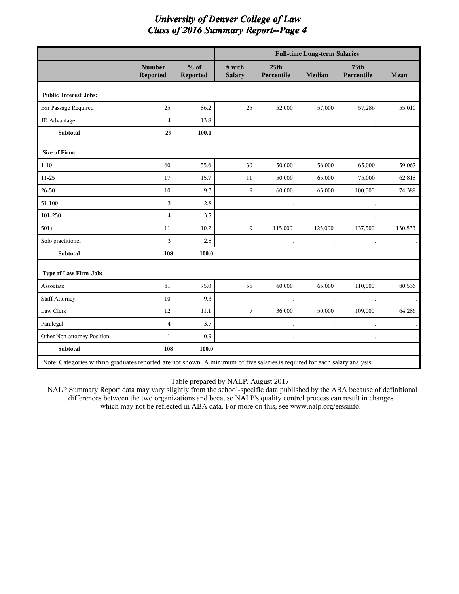|                                                                                                                             |                           |                    | <b>Full-time Long-term Salaries</b> |                                |               |                                |         |  |
|-----------------------------------------------------------------------------------------------------------------------------|---------------------------|--------------------|-------------------------------------|--------------------------------|---------------|--------------------------------|---------|--|
|                                                                                                                             | <b>Number</b><br>Reported | $%$ of<br>Reported | # with<br><b>Salary</b>             | 25 <sub>th</sub><br>Percentile | <b>Median</b> | 75 <sub>th</sub><br>Percentile | Mean    |  |
| <b>Public Interest Jobs:</b>                                                                                                |                           |                    |                                     |                                |               |                                |         |  |
| <b>Bar Passage Required</b>                                                                                                 | 25                        | 86.2               | 25                                  | 52,000                         | 57,000        | 57,286                         | 55,010  |  |
| JD Advantage                                                                                                                | $\overline{4}$            | 13.8               |                                     |                                |               |                                |         |  |
| <b>Subtotal</b>                                                                                                             | 29                        | 100.0              |                                     |                                |               |                                |         |  |
| <b>Size of Firm:</b>                                                                                                        |                           |                    |                                     |                                |               |                                |         |  |
| $1 - 10$                                                                                                                    | 60                        | 55.6               | 30                                  | 50,000                         | 56,000        | 65,000                         | 59,067  |  |
| $11 - 25$                                                                                                                   | 17                        | 15.7               | 11                                  | 50,000                         | 65,000        | 75,000                         | 62,818  |  |
| 26-50                                                                                                                       | 10                        | 9.3                | 9                                   | 60,000                         | 65,000        | 100,000                        | 74,389  |  |
| 51-100                                                                                                                      | 3                         | 2.8                |                                     |                                |               |                                |         |  |
| 101-250                                                                                                                     | $\overline{4}$            | 3.7                |                                     |                                |               |                                |         |  |
| $501+$                                                                                                                      | 11                        | 10.2               | 9                                   | 115,000                        | 125,000       | 137,500                        | 130,833 |  |
| Solo practitioner                                                                                                           | $\overline{\mathbf{3}}$   | 2.8                |                                     |                                |               |                                |         |  |
| <b>Subtotal</b>                                                                                                             | 108                       | 100.0              |                                     |                                |               |                                |         |  |
| Type of Law Firm Job:                                                                                                       |                           |                    |                                     |                                |               |                                |         |  |
| Associate                                                                                                                   | 81                        | 75.0               | 55                                  | 60,000                         | 65,000        | 110,000                        | 80,536  |  |
| <b>Staff Attorney</b>                                                                                                       | 10                        | 9.3                |                                     |                                |               |                                |         |  |
| Law Clerk                                                                                                                   | 12                        | 11.1               | 7                                   | 36,000                         | 50,000        | 109,000                        | 64,286  |  |
| Paralegal                                                                                                                   | $\overline{4}$            | 3.7                |                                     |                                |               |                                |         |  |
| Other Non-attorney Position                                                                                                 | $\mathbf{1}$              | 0.9                |                                     |                                |               |                                |         |  |
| Subtotal                                                                                                                    | 108                       | 100.0              |                                     |                                |               |                                |         |  |
| Note: Categories with no graduates reported are not shown. A minimum of five salaries is required for each salary analysis. |                           |                    |                                     |                                |               |                                |         |  |

Table prepared by NALP, August 2017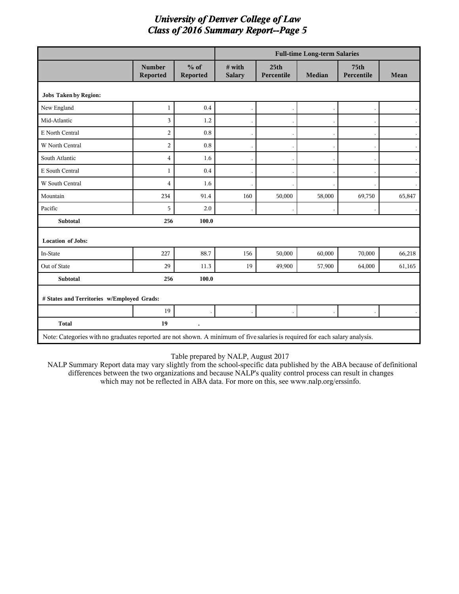|                                                                                                                             |                                  |                      |                         |                                | <b>Full-time Long-term Salaries</b> |                                |        |
|-----------------------------------------------------------------------------------------------------------------------------|----------------------------------|----------------------|-------------------------|--------------------------------|-------------------------------------|--------------------------------|--------|
|                                                                                                                             | <b>Number</b><br><b>Reported</b> | $%$ of<br>Reported   | # with<br><b>Salary</b> | 25 <sub>th</sub><br>Percentile | <b>Median</b>                       | 75 <sub>th</sub><br>Percentile | Mean   |
| <b>Jobs Taken by Region:</b>                                                                                                |                                  |                      |                         |                                |                                     |                                |        |
| New England                                                                                                                 | $\mathbf{1}$                     | 0.4                  |                         |                                |                                     |                                |        |
| Mid-Atlantic                                                                                                                | 3                                | 1.2                  |                         |                                |                                     |                                |        |
| E North Central                                                                                                             | $\overline{a}$                   | 0.8                  |                         |                                |                                     |                                |        |
| W North Central                                                                                                             | $\overline{c}$                   | 0.8                  |                         |                                |                                     |                                |        |
| South Atlantic                                                                                                              | $\overline{4}$                   | 1.6                  |                         |                                |                                     |                                |        |
| E South Central                                                                                                             | $\mathbf{1}$                     | 0.4                  |                         |                                |                                     |                                |        |
| W South Central                                                                                                             | $\overline{4}$                   | 1.6                  |                         |                                |                                     |                                |        |
| Mountain                                                                                                                    | 234                              | 91.4                 | 160                     | 50,000                         | 58,000                              | 69,750                         | 65,847 |
| Pacific                                                                                                                     | 5                                | 2.0                  |                         |                                |                                     |                                |        |
| <b>Subtotal</b>                                                                                                             | 256                              | 100.0                |                         |                                |                                     |                                |        |
| <b>Location of Jobs:</b>                                                                                                    |                                  |                      |                         |                                |                                     |                                |        |
| In-State                                                                                                                    | 227                              | 88.7                 | 156                     | 50,000                         | 60,000                              | 70,000                         | 66,218 |
| Out of State                                                                                                                | 29                               | 11.3                 | 19                      | 49,900                         | 57,900                              | 64,000                         | 61,165 |
| <b>Subtotal</b>                                                                                                             | 256                              | 100.0                |                         |                                |                                     |                                |        |
| # States and Territories w/Employed Grads:                                                                                  |                                  |                      |                         |                                |                                     |                                |        |
|                                                                                                                             | 19                               |                      |                         |                                |                                     |                                |        |
| <b>Total</b>                                                                                                                | 19                               | $\ddot{\phantom{0}}$ |                         |                                |                                     |                                |        |
| Note: Categories with no graduates reported are not shown. A minimum of five salaries is required for each salary analysis. |                                  |                      |                         |                                |                                     |                                |        |

Table prepared by NALP, August 2017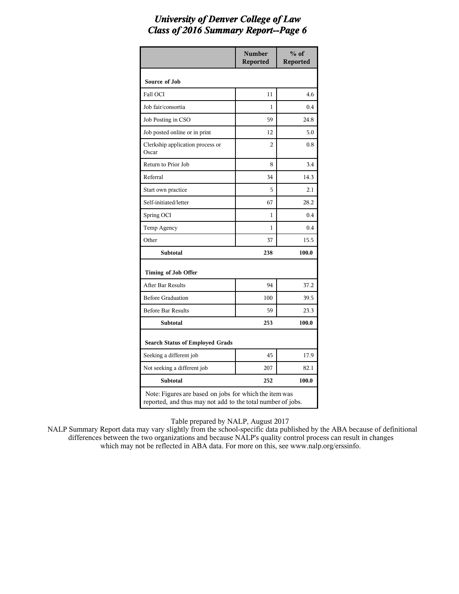|                                           | <b>Number</b><br>Reported                                                                                             | $%$ of<br><b>Reported</b> |  |  |  |  |
|-------------------------------------------|-----------------------------------------------------------------------------------------------------------------------|---------------------------|--|--|--|--|
| Source of Job                             |                                                                                                                       |                           |  |  |  |  |
| Fall OCI                                  | 11                                                                                                                    | 4.6                       |  |  |  |  |
| Job fair/consortia                        | 1                                                                                                                     | 0.4                       |  |  |  |  |
| Job Posting in CSO                        | 59                                                                                                                    | 24.8                      |  |  |  |  |
| Job posted online or in print             | 12                                                                                                                    | 5.0                       |  |  |  |  |
| Clerkship application process or<br>Oscar | 2                                                                                                                     | 0.8                       |  |  |  |  |
| Return to Prior Job                       | 8                                                                                                                     | 3.4                       |  |  |  |  |
| Referral                                  | 34                                                                                                                    | 14.3                      |  |  |  |  |
| Start own practice                        | 5                                                                                                                     | 2.1                       |  |  |  |  |
| Self-initiated/letter                     | 67                                                                                                                    | 28.2                      |  |  |  |  |
| Spring OCI                                | 1                                                                                                                     | 0.4                       |  |  |  |  |
| Temp Agency                               | 1                                                                                                                     | 0.4                       |  |  |  |  |
| Other                                     | 37                                                                                                                    | 15.5                      |  |  |  |  |
| <b>Subtotal</b>                           | 238                                                                                                                   | 100.0                     |  |  |  |  |
| Timing of Job Offer                       |                                                                                                                       |                           |  |  |  |  |
| After Bar Results                         | 94                                                                                                                    | 37.2                      |  |  |  |  |
| <b>Before Graduation</b>                  | 100                                                                                                                   | 39.5                      |  |  |  |  |
| <b>Before Bar Results</b>                 | 59                                                                                                                    | 23.3                      |  |  |  |  |
| Subtotal                                  | 253                                                                                                                   | 100.0                     |  |  |  |  |
| <b>Search Status of Employed Grads</b>    |                                                                                                                       |                           |  |  |  |  |
| Seeking a different job                   | 45                                                                                                                    | 17.9                      |  |  |  |  |
| Not seeking a different job               | 207                                                                                                                   | 82.1                      |  |  |  |  |
| <b>Subtotal</b>                           | 252                                                                                                                   | 100.0                     |  |  |  |  |
|                                           | Note: Figures are based on jobs for which the item was<br>reported, and thus may not add to the total number of jobs. |                           |  |  |  |  |

Table prepared by NALP, August 2017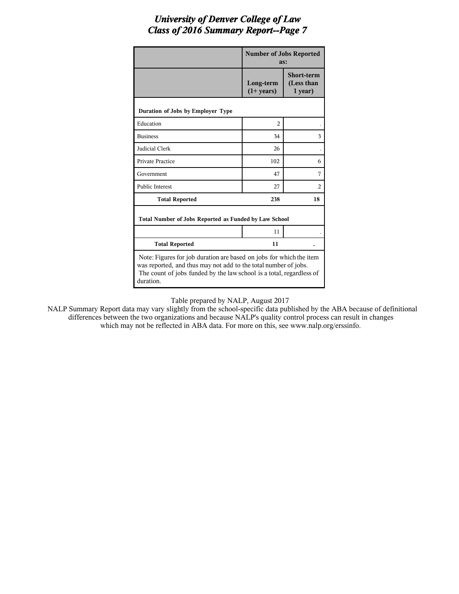|                                                                                                                                                                                                                             | <b>Number of Jobs Reported</b><br>as: |                                            |  |  |  |
|-----------------------------------------------------------------------------------------------------------------------------------------------------------------------------------------------------------------------------|---------------------------------------|--------------------------------------------|--|--|--|
|                                                                                                                                                                                                                             | Long-term<br>$(1+ \text{years})$      | <b>Short-term</b><br>(Less than<br>1 year) |  |  |  |
| Duration of Jobs by Employer Type                                                                                                                                                                                           |                                       |                                            |  |  |  |
| Education                                                                                                                                                                                                                   | $\overline{c}$                        |                                            |  |  |  |
| <b>Business</b>                                                                                                                                                                                                             | 34                                    | 3                                          |  |  |  |
| Judicial Clerk                                                                                                                                                                                                              | 26                                    |                                            |  |  |  |
| <b>Private Practice</b>                                                                                                                                                                                                     | 102                                   | 6                                          |  |  |  |
| Government                                                                                                                                                                                                                  | 47                                    | 7                                          |  |  |  |
| <b>Public Interest</b>                                                                                                                                                                                                      | 27                                    | $\overline{c}$                             |  |  |  |
| <b>Total Reported</b>                                                                                                                                                                                                       | 238                                   | 18                                         |  |  |  |
| Total Number of Jobs Reported as Funded by Law School                                                                                                                                                                       |                                       |                                            |  |  |  |
|                                                                                                                                                                                                                             | 11                                    |                                            |  |  |  |
| <b>Total Reported</b>                                                                                                                                                                                                       | 11                                    |                                            |  |  |  |
| Note: Figures for job duration are based on jobs for which the item<br>was reported, and thus may not add to the total number of jobs.<br>The count of jobs funded by the law school is a total, regardless of<br>duration. |                                       |                                            |  |  |  |

Table prepared by NALP, August 2017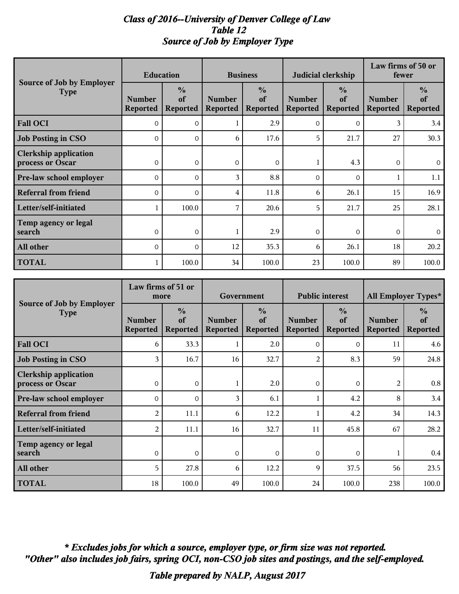### *Class of 2016--University of Denver College of Law Table 12 Source of Job by Employer Type*

|                                                  | <b>Education</b>                 |                                        | <b>Business</b>                  |                                        |                                  | Judicial clerkship                     | Law firms of 50 or<br>fewer      |                                        |
|--------------------------------------------------|----------------------------------|----------------------------------------|----------------------------------|----------------------------------------|----------------------------------|----------------------------------------|----------------------------------|----------------------------------------|
| Source of Job by Employer<br><b>Type</b>         | <b>Number</b><br><b>Reported</b> | $\frac{0}{0}$<br>of<br><b>Reported</b> | <b>Number</b><br><b>Reported</b> | $\frac{0}{0}$<br>of<br><b>Reported</b> | <b>Number</b><br><b>Reported</b> | $\frac{0}{0}$<br>of<br><b>Reported</b> | <b>Number</b><br><b>Reported</b> | $\frac{0}{0}$<br>of<br><b>Reported</b> |
| <b>Fall OCI</b>                                  | $\Omega$                         | $\Omega$                               |                                  | 2.9                                    | $\mathbf{0}$                     | $\Omega$                               | 3                                | 3.4                                    |
| <b>Job Posting in CSO</b>                        | $\Omega$                         | $\Omega$                               | 6                                | 17.6                                   | 5                                | 21.7                                   | 27                               | 30.3                                   |
| <b>Clerkship application</b><br>process or Oscar | $\Omega$                         | $\Omega$                               | $\Omega$                         | $\Omega$                               |                                  | 4.3                                    | $\Omega$                         | $\overline{0}$                         |
| <b>Pre-law school employer</b>                   | $\Omega$                         | $\Omega$                               | 3                                | 8.8                                    | $\Omega$                         | $\Omega$                               |                                  | 1.1                                    |
| <b>Referral from friend</b>                      | $\mathbf 0$                      | $\Omega$                               | 4                                | 11.8                                   | 6                                | 26.1                                   | 15                               | 16.9                                   |
| Letter/self-initiated                            |                                  | 100.0                                  | 7                                | 20.6                                   | 5                                | 21.7                                   | 25                               | 28.1                                   |
| Temp agency or legal<br>search                   | $\mathbf 0$                      | $\mathbf{0}$                           |                                  | 2.9                                    | $\mathbf{0}$                     | $\mathbf{0}$                           | $\mathbf 0$                      | $\overline{0}$                         |
| All other                                        | $\Omega$                         | $\Omega$                               | 12                               | 35.3                                   | 6                                | 26.1                                   | 18                               | 20.2                                   |
| <b>TOTAL</b>                                     |                                  | 100.0                                  | 34                               | 100.0                                  | 23                               | 100.0                                  | 89                               | 100.0                                  |

|                                                  | Law firms of 51 or<br>more       |                                        | Government                       |                                        | <b>Public interest</b>           |                                        | All Employer Types*              |                                        |
|--------------------------------------------------|----------------------------------|----------------------------------------|----------------------------------|----------------------------------------|----------------------------------|----------------------------------------|----------------------------------|----------------------------------------|
| Source of Job by Employer<br><b>Type</b>         | <b>Number</b><br><b>Reported</b> | $\frac{0}{0}$<br>of<br><b>Reported</b> | <b>Number</b><br><b>Reported</b> | $\frac{0}{0}$<br>of<br><b>Reported</b> | <b>Number</b><br><b>Reported</b> | $\frac{0}{0}$<br>of<br><b>Reported</b> | <b>Number</b><br><b>Reported</b> | $\frac{6}{6}$<br>of<br><b>Reported</b> |
| <b>Fall OCI</b>                                  | 6                                | 33.3                                   |                                  | 2.0                                    | $\Omega$                         | $\Omega$                               | 11                               | 4.6                                    |
| <b>Job Posting in CSO</b>                        | 3                                | 16.7                                   | 16                               | 32.7                                   | 2                                | 8.3                                    | 59                               | 24.8                                   |
| <b>Clerkship application</b><br>process or Oscar | $\mathbf{O}$                     | $\Omega$                               |                                  | 2.0                                    | $\Omega$                         | $\Omega$                               | $\overline{2}$                   | 0.8                                    |
| Pre-law school employer                          | $\Omega$                         | $\Omega$                               | 3                                | 6.1                                    |                                  | 4.2                                    | 8                                | 3.4                                    |
| <b>Referral from friend</b>                      | $\overline{2}$                   | 11.1                                   | 6                                | 12.2                                   |                                  | 4.2                                    | 34                               | 14.3                                   |
| Letter/self-initiated                            | $\overline{2}$                   | 11.1                                   | 16                               | 32.7                                   | 11                               | 45.8                                   | 67                               | 28.2                                   |
| Temp agency or legal<br>search                   | $\mathbf{O}$                     | $\Omega$                               | $\Omega$                         | $\Omega$                               | $\Omega$                         | $\Omega$                               |                                  | $0.4\,$                                |
| All other                                        | 5                                | 27.8                                   | 6                                | 12.2                                   | 9                                | 37.5                                   | 56                               | 23.5                                   |
| <b>TOTAL</b>                                     | 18                               | 100.0                                  | 49                               | 100.0                                  | 24                               | 100.0                                  | 238                              | 100.0                                  |

*"Other" also includes job fairs, spring OCI, non-CSO job sites and postings, and the self-employed. \* Excludes jobs for which a source, employer type, or firm size was not reported.*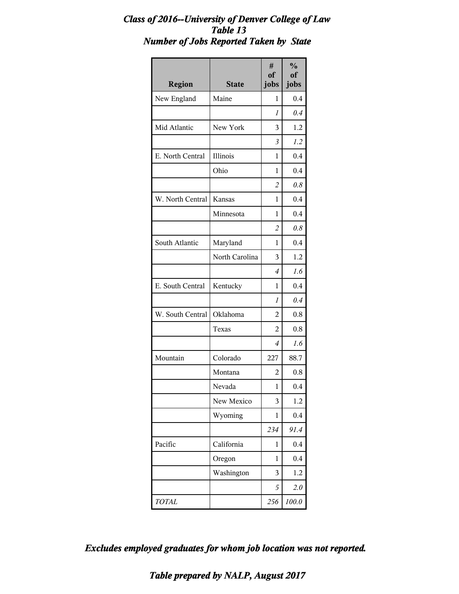### *Class of 2016--University of Denver College of Law Table 13 Number of Jobs Reported Taken by State*

| <b>Region</b>    | <b>State</b>   | #<br>of<br>jobs | $\frac{0}{0}$<br><sub>of</sub><br>jobs |
|------------------|----------------|-----------------|----------------------------------------|
| New England      | Maine          | 1               | 0.4                                    |
|                  |                | 1               | 0.4                                    |
| Mid Atlantic     | New York       | 3               | 1.2                                    |
|                  |                | 3               | 1.2                                    |
| E. North Central | Illinois       | 1               | 0.4                                    |
|                  | Ohio           | 1               | 0.4                                    |
|                  |                | $\overline{c}$  | 0.8                                    |
| W. North Central | <b>Kansas</b>  | 1               | 0.4                                    |
|                  | Minnesota      | 1               | 0.4                                    |
|                  |                | 2               | 0.8                                    |
| South Atlantic   | Maryland       | 1               | 0.4                                    |
|                  | North Carolina | 3               | 1.2                                    |
|                  |                | 4               | 1.6                                    |
| E. South Central | Kentucky       | 1               | 0.4                                    |
|                  |                | 1               | 0.4                                    |
| W. South Central | Oklahoma       | 2               | 0.8                                    |
|                  | Texas          | 2               | 0.8                                    |
|                  |                | 4               | 1.6                                    |
| Mountain         | Colorado       | 227             | 88.7                                   |
|                  | Montana        | 2               | 0.8                                    |
|                  | Nevada         | 1               | 0.4                                    |
|                  | New Mexico     | 3               | 1.2                                    |
|                  | Wyoming        | 1               | 0.4                                    |
|                  |                | 234             | 91.4                                   |
| Pacific          | California     | 1               | 0.4                                    |
|                  | Oregon         | $\mathbf 1$     | 0.4                                    |
|                  | Washington     | 3               | 1.2                                    |
|                  |                | 5               | 2.0                                    |
| TOTAL            |                | 256             | 100.0                                  |

*Excludes employed graduates for whom job location was not reported.*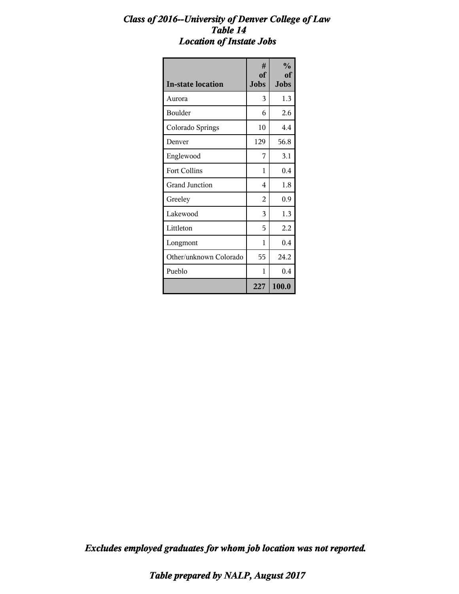### *Class of 2016--University of Denver College of Law Table 14 Location of Instate Jobs*

| <b>In-state location</b> | #<br>of<br><b>Jobs</b> | $\frac{0}{0}$<br>of<br><b>Jobs</b> |
|--------------------------|------------------------|------------------------------------|
| Aurora                   | 3                      | 1.3                                |
| Boulder                  | 6                      | 2.6                                |
| Colorado Springs         | 10                     | 4.4                                |
| Denver                   | 129                    | 56.8                               |
| Englewood                | 7                      | 3.1                                |
| <b>Fort Collins</b>      | 1                      | 0.4                                |
| Grand Junction           | 4                      | 1.8                                |
| Greeley                  | $\overline{2}$         | 0.9                                |
| Lakewood                 | 3                      | 1.3                                |
| Littleton                | 5                      | 2.2                                |
| Longmont                 | 1                      | 0.4                                |
| Other/unknown Colorado   | 55                     | 24.2                               |
| Pueblo                   | 1                      | 0.4                                |
|                          | 227                    | 100.0                              |

*Excludes employed graduates for whom job location was not reported.*